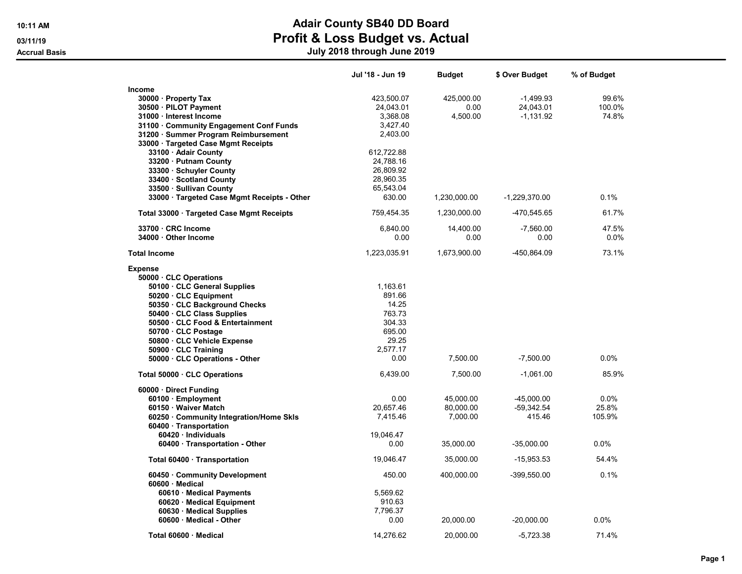Accrual Basis July 2018 through June 2019

|                                             | Jul '18 - Jun 19 | <b>Budget</b> | \$ Over Budget  | % of Budget |
|---------------------------------------------|------------------|---------------|-----------------|-------------|
| Income                                      |                  |               |                 |             |
| 30000 · Property Tax                        | 423,500.07       | 425,000.00    | $-1,499.93$     | 99.6%       |
| 30500 · PILOT Payment                       | 24,043.01        | 0.00          | 24,043.01       | 100.0%      |
| 31000 · Interest Income                     | 3,368.08         | 4,500.00      | $-1,131.92$     | 74.8%       |
| 31100 Community Engagement Conf Funds       | 3,427.40         |               |                 |             |
| 31200 · Summer Program Reimbursement        | 2,403.00         |               |                 |             |
| 33000 · Targeted Case Mgmt Receipts         |                  |               |                 |             |
|                                             | 612,722.88       |               |                 |             |
| 33100 · Adair County                        |                  |               |                 |             |
| 33200 · Putnam County                       | 24,788.16        |               |                 |             |
| 33300 · Schuyler County                     | 26,809.92        |               |                 |             |
| 33400 · Scotland County                     | 28,960.35        |               |                 |             |
| 33500 · Sullivan County                     | 65,543.04        |               |                 |             |
| 33000 · Targeted Case Mgmt Receipts - Other | 630.00           | 1,230,000.00  | $-1,229,370.00$ | 0.1%        |
| Total 33000 · Targeted Case Mgmt Receipts   | 759,454.35       | 1,230,000.00  | -470,545.65     | 61.7%       |
| 33700 · CRC Income                          | 6,840.00         | 14,400.00     | $-7,560.00$     | 47.5%       |
| 34000 Other Income                          | 0.00             | 0.00          | 0.00            | $0.0\%$     |
| <b>Total Income</b>                         | 1,223,035.91     | 1,673,900.00  | -450,864.09     | 73.1%       |
| <b>Expense</b>                              |                  |               |                 |             |
| 50000 CLC Operations                        |                  |               |                 |             |
| 50100 · CLC General Supplies                | 1,163.61         |               |                 |             |
| 50200 CLC Equipment                         | 891.66           |               |                 |             |
| 50350 · CLC Background Checks               | 14.25            |               |                 |             |
| 50400 CLC Class Supplies                    | 763.73           |               |                 |             |
| 50500 CLC Food & Entertainment              | 304.33           |               |                 |             |
| 50700 CLC Postage                           | 695.00           |               |                 |             |
| 50800 · CLC Vehicle Expense                 | 29.25            |               |                 |             |
| 50900 · CLC Training                        | 2,577.17         |               |                 |             |
| 50000 · CLC Operations - Other              | 0.00             | 7,500.00      | $-7,500.00$     | 0.0%        |
|                                             |                  |               |                 |             |
| Total 50000 · CLC Operations                | 6,439.00         | 7,500.00      | $-1,061.00$     | 85.9%       |
| 60000 · Direct Funding                      |                  |               |                 |             |
| 60100 · Employment                          | 0.00             | 45,000.00     | $-45,000.00$    | 0.0%        |
| 60150 · Waiver Match                        | 20,657.46        | 80,000.00     | $-59,342.54$    | 25.8%       |
| 60250 · Community Integration/Home Skls     | 7,415.46         | 7,000.00      | 415.46          | 105.9%      |
| 60400 · Transportation                      |                  |               |                 |             |
| 60420 · Individuals                         | 19,046.47        |               |                 |             |
| 60400 · Transportation - Other              | 0.00             | 35,000.00     | $-35,000.00$    | 0.0%        |
| Total 60400 · Transportation                | 19,046.47        | 35,000.00     | $-15,953.53$    | 54.4%       |
| 60450 Community Development                 | 450.00           | 400,000.00    | -399,550.00     | 0.1%        |
| 60600 · Medical                             |                  |               |                 |             |
| 60610 · Medical Payments                    | 5,569.62         |               |                 |             |
| 60620 · Medical Equipment                   | 910.63           |               |                 |             |
| 60630 · Medical Supplies                    | 7,796.37         |               |                 |             |
| 60600 · Medical - Other                     | 0.00             | 20,000.00     | $-20,000.00$    | $0.0\%$     |
|                                             |                  |               |                 |             |
| Total 60600 · Medical                       | 14,276.62        | 20.000.00     | $-5,723.38$     | 71.4%       |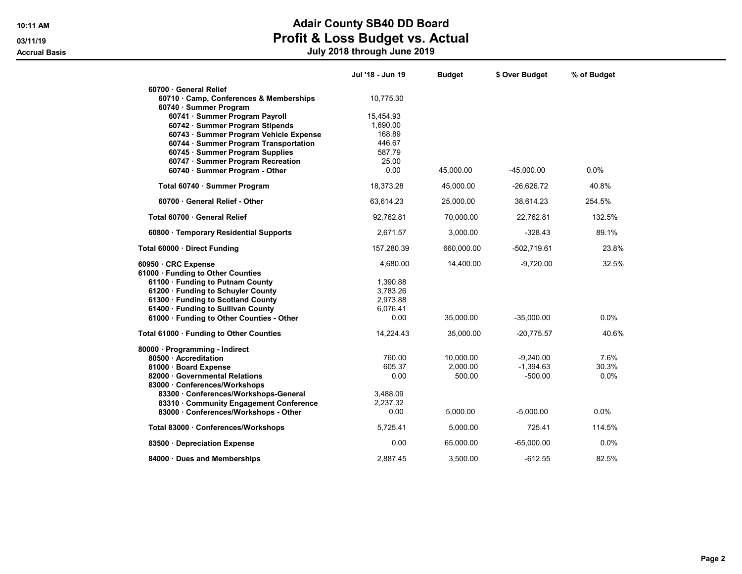Accrual Basis July 2018 through June 2019

|                                                                                 | Jul '18 - Jun 19     | <b>Budget</b> | \$ Over Budget | % of Budget |
|---------------------------------------------------------------------------------|----------------------|---------------|----------------|-------------|
| 60700 General Relief                                                            |                      |               |                |             |
| 60710 · Camp, Conferences & Memberships                                         | 10,775.30            |               |                |             |
| 60740 · Summer Program                                                          |                      |               |                |             |
| 60741 · Summer Program Payroll                                                  | 15,454.93            |               |                |             |
| 60742 · Summer Program Stipends                                                 | 1,690.00<br>168.89   |               |                |             |
| 60743 · Summer Program Vehicle Expense<br>60744 · Summer Program Transportation | 446.67               |               |                |             |
| 60745 · Summer Program Supplies                                                 | 587.79               |               |                |             |
| 60747 · Summer Program Recreation                                               | 25.00                |               |                |             |
| 60740 · Summer Program - Other                                                  | 0.00                 | 45,000.00     | $-45,000.00$   | $0.0\%$     |
| Total 60740 · Summer Program                                                    | 18,373.28            | 45,000.00     | $-26,626.72$   | 40.8%       |
|                                                                                 |                      |               |                |             |
| 60700 General Relief - Other                                                    | 63,614.23            | 25,000.00     | 38,614.23      | 254.5%      |
| Total 60700 General Relief                                                      | 92,762.81            | 70,000.00     | 22,762.81      | 132.5%      |
| 60800 · Temporary Residential Supports                                          | 2,671.57             | 3,000.00      | $-328.43$      | 89.1%       |
| Total 60000 · Direct Funding                                                    | 157,280.39           | 660,000.00    | $-502,719.61$  | 23.8%       |
| 60950 CRC Expense                                                               | 4,680.00             | 14,400.00     | $-9.720.00$    | 32.5%       |
| 61000 · Funding to Other Counties                                               |                      |               |                |             |
| 61100 · Funding to Putnam County                                                | 1,390.88             |               |                |             |
| 61200 · Funding to Schuyler County                                              | 3,783.26<br>2,973.88 |               |                |             |
| 61300 · Funding to Scotland County<br>61400 · Funding to Sullivan County        | 6,076.41             |               |                |             |
| 61000 · Funding to Other Counties - Other                                       | 0.00                 | 35,000.00     | $-35,000.00$   | $0.0\%$     |
|                                                                                 |                      |               |                |             |
| Total 61000 · Funding to Other Counties                                         | 14,224.43            | 35,000.00     | $-20,775.57$   | 40.6%       |
| 80000 · Programming - Indirect                                                  |                      |               |                |             |
| 80500 Accreditation                                                             | 760.00               | 10.000.00     | $-9.240.00$    | 7.6%        |
| 81000 Board Expense                                                             | 605.37               | 2,000.00      | $-1,394.63$    | 30.3%       |
| 82000 · Governmental Relations<br>83000 · Conferences/Workshops                 | 0.00                 | 500.00        | $-500.00$      | $0.0\%$     |
| 83300 · Conferences/Workshops-General                                           | 3,488.09             |               |                |             |
| 83310 Community Engagement Conference                                           | 2.237.32             |               |                |             |
| 83000 · Conferences/Workshops - Other                                           | 0.00                 | 5,000.00      | $-5,000.00$    | 0.0%        |
| Total 83000 · Conferences/Workshops                                             | 5,725.41             | 5,000.00      | 725.41         | 114.5%      |
| 83500 Depreciation Expense                                                      | 0.00                 | 65,000.00     | $-65,000.00$   | $0.0\%$     |
| 84000 Dues and Memberships                                                      | 2.887.45             | 3.500.00      | $-612.55$      | 82.5%       |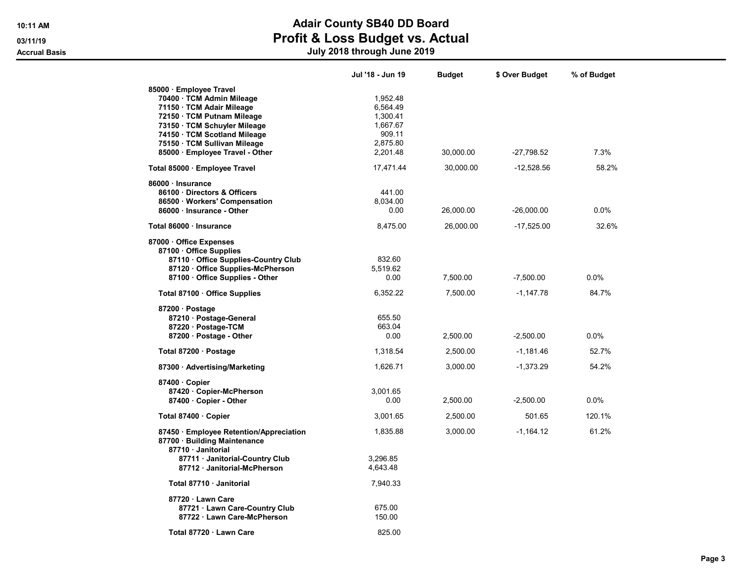Accrual Basis July 2018 through June 2019

|                                                                                                                                                                                                                                                    | Jul '18 - Jun 19                                                               | Budget    | \$ Over Budget | % of Budget |
|----------------------------------------------------------------------------------------------------------------------------------------------------------------------------------------------------------------------------------------------------|--------------------------------------------------------------------------------|-----------|----------------|-------------|
| 85000 · Employee Travel<br>70400 · TCM Admin Mileage<br>71150 · TCM Adair Mileage<br>72150 · TCM Putnam Mileage<br>73150 · TCM Schuyler Mileage<br>74150 · TCM Scotland Mileage<br>75150 · TCM Sullivan Mileage<br>85000 · Employee Travel - Other | 1,952.48<br>6,564.49<br>1,300.41<br>1,667.67<br>909.11<br>2,875.80<br>2,201.48 | 30,000.00 | $-27,798.52$   | 7.3%        |
| Total 85000 · Employee Travel                                                                                                                                                                                                                      | 17,471.44                                                                      | 30,000.00 | $-12,528.56$   | 58.2%       |
| 86000 · Insurance<br>86100 Directors & Officers<br>86500 · Workers' Compensation<br>86000 · Insurance - Other                                                                                                                                      | 441.00<br>8,034.00<br>0.00                                                     | 26,000.00 | $-26,000.00$   | 0.0%        |
| Total 86000 · Insurance                                                                                                                                                                                                                            | 8,475.00                                                                       | 26,000.00 | $-17,525.00$   | 32.6%       |
| 87000 Office Expenses<br>87100 Office Supplies<br>87110 Office Supplies-Country Club<br>87120 · Office Supplies-McPherson<br>87100 Office Supplies - Other                                                                                         | 832.60<br>5,519.62<br>0.00                                                     | 7,500.00  | $-7,500.00$    | $0.0\%$     |
| Total 87100 · Office Supplies                                                                                                                                                                                                                      | 6,352.22                                                                       | 7,500.00  | $-1,147.78$    | 84.7%       |
| 87200 Postage<br>87210 · Postage-General<br>87220 · Postage-TCM<br>87200 · Postage - Other                                                                                                                                                         | 655.50<br>663.04<br>0.00                                                       | 2,500.00  | $-2,500.00$    | $0.0\%$     |
| Total 87200 · Postage                                                                                                                                                                                                                              | 1,318.54                                                                       | 2,500.00  | $-1,181.46$    | 52.7%       |
| 87300 · Advertising/Marketing                                                                                                                                                                                                                      | 1,626.71                                                                       | 3,000.00  | $-1,373.29$    | 54.2%       |
| 87400 Copier<br>87420 · Copier-McPherson<br>87400 · Copier - Other                                                                                                                                                                                 | 3,001.65<br>0.00                                                               | 2,500.00  | $-2,500.00$    | $0.0\%$     |
| Total 87400 · Copier                                                                                                                                                                                                                               | 3.001.65                                                                       | 2,500.00  | 501.65         | 120.1%      |
| 87450 · Employee Retention/Appreciation<br>87700 · Building Maintenance<br>87710 Janitorial                                                                                                                                                        | 1,835.88                                                                       | 3,000.00  | $-1,164.12$    | 61.2%       |
| 87711 Janitorial-Country Club<br>87712 · Janitorial-McPherson                                                                                                                                                                                      | 3,296.85<br>4,643.48                                                           |           |                |             |
| Total 87710 Janitorial                                                                                                                                                                                                                             | 7,940.33                                                                       |           |                |             |
| 87720 · Lawn Care<br>87721 · Lawn Care-Country Club<br>87722 Lawn Care-McPherson                                                                                                                                                                   | 675.00<br>150.00                                                               |           |                |             |
| Total 87720 · Lawn Care                                                                                                                                                                                                                            | 825.00                                                                         |           |                |             |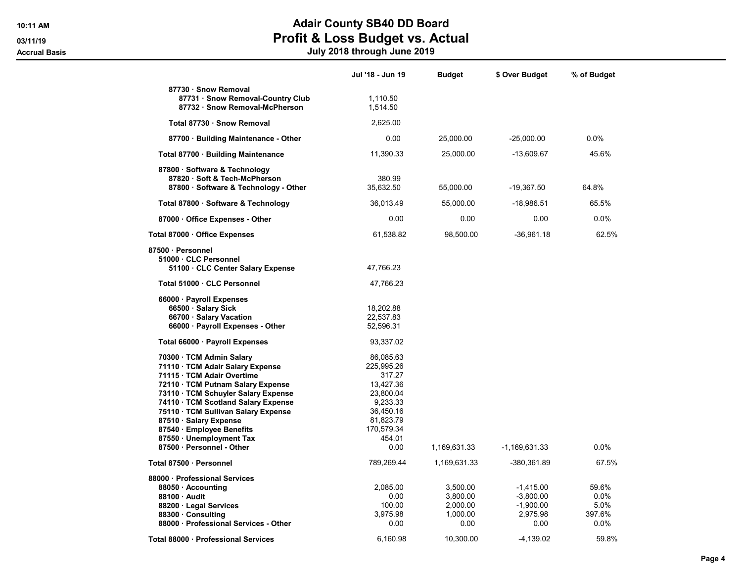Accrual Basis July 2018 through June 2019

|                                                                                                                                                                                                                                                                                                                                                                      | Jul '18 - Jun 19                                                                                                                  | <b>Budget</b>                                        | \$ Over Budget                                                | % of Budget                             |
|----------------------------------------------------------------------------------------------------------------------------------------------------------------------------------------------------------------------------------------------------------------------------------------------------------------------------------------------------------------------|-----------------------------------------------------------------------------------------------------------------------------------|------------------------------------------------------|---------------------------------------------------------------|-----------------------------------------|
| 87730 · Snow Removal<br>87731 · Snow Removal-Country Club<br>87732 · Snow Removal-McPherson                                                                                                                                                                                                                                                                          | 1,110.50<br>1,514.50                                                                                                              |                                                      |                                                               |                                         |
| Total 87730 · Snow Removal                                                                                                                                                                                                                                                                                                                                           | 2,625.00                                                                                                                          |                                                      |                                                               |                                         |
| 87700 · Building Maintenance - Other                                                                                                                                                                                                                                                                                                                                 | 0.00                                                                                                                              | 25,000.00                                            | $-25,000.00$                                                  | 0.0%                                    |
| Total 87700 · Building Maintenance                                                                                                                                                                                                                                                                                                                                   | 11,390.33                                                                                                                         | 25,000.00                                            | -13,609.67                                                    | 45.6%                                   |
| 87800 · Software & Technology<br>87820 · Soft & Tech-McPherson<br>87800 · Software & Technology - Other                                                                                                                                                                                                                                                              | 380.99<br>35,632.50                                                                                                               | 55,000.00                                            | $-19,367.50$                                                  | 64.8%                                   |
| Total 87800 · Software & Technology                                                                                                                                                                                                                                                                                                                                  | 36,013.49                                                                                                                         | 55,000.00                                            | $-18,986.51$                                                  | 65.5%                                   |
| 87000 · Office Expenses - Other                                                                                                                                                                                                                                                                                                                                      | 0.00                                                                                                                              | 0.00                                                 | 0.00                                                          | 0.0%                                    |
| Total 87000 · Office Expenses                                                                                                                                                                                                                                                                                                                                        | 61,538.82                                                                                                                         | 98,500.00                                            | $-36,961.18$                                                  | 62.5%                                   |
| 87500 · Personnel<br>51000 CLC Personnel<br>51100 CLC Center Salary Expense                                                                                                                                                                                                                                                                                          | 47,766.23                                                                                                                         |                                                      |                                                               |                                         |
| Total 51000 · CLC Personnel                                                                                                                                                                                                                                                                                                                                          | 47,766.23                                                                                                                         |                                                      |                                                               |                                         |
| 66000 · Payroll Expenses<br>66500 · Salary Sick<br>66700 · Salary Vacation<br>66000 · Payroll Expenses - Other                                                                                                                                                                                                                                                       | 18,202.88<br>22,537.83<br>52,596.31                                                                                               |                                                      |                                                               |                                         |
| Total 66000 · Payroll Expenses                                                                                                                                                                                                                                                                                                                                       | 93,337.02                                                                                                                         |                                                      |                                                               |                                         |
| 70300 · TCM Admin Salary<br>71110 · TCM Adair Salary Expense<br>71115 · TCM Adair Overtime<br>72110 · TCM Putnam Salary Expense<br>73110 · TCM Schuyler Salary Expense<br>74110 · TCM Scotland Salary Expense<br>75110 · TCM Sullivan Salary Expense<br>87510 · Salary Expense<br>87540 · Employee Benefits<br>87550 · Unemployment Tax<br>87500 · Personnel - Other | 86,085.63<br>225,995.26<br>317.27<br>13,427.36<br>23,800.04<br>9,233.33<br>36,450.16<br>81,823.79<br>170,579.34<br>454.01<br>0.00 | 1,169,631.33                                         | -1,169,631.33                                                 | 0.0%                                    |
| Total 87500 · Personnel                                                                                                                                                                                                                                                                                                                                              | 789,269.44                                                                                                                        | 1,169,631.33                                         | -380,361.89                                                   | 67.5%                                   |
| 88000 · Professional Services<br>88050 · Accounting<br>88100 Audit<br>88200 · Legal Services<br>88300 · Consulting<br>88000 · Professional Services - Other                                                                                                                                                                                                          | 2,085.00<br>0.00<br>100.00<br>3,975.98<br>0.00                                                                                    | 3,500.00<br>3,800.00<br>2,000.00<br>1,000.00<br>0.00 | $-1,415.00$<br>$-3,800.00$<br>$-1,900.00$<br>2,975.98<br>0.00 | 59.6%<br>0.0%<br>5.0%<br>397.6%<br>0.0% |
| Total 88000 · Professional Services                                                                                                                                                                                                                                                                                                                                  | 6,160.98                                                                                                                          | 10,300.00                                            | -4,139.02                                                     | 59.8%                                   |